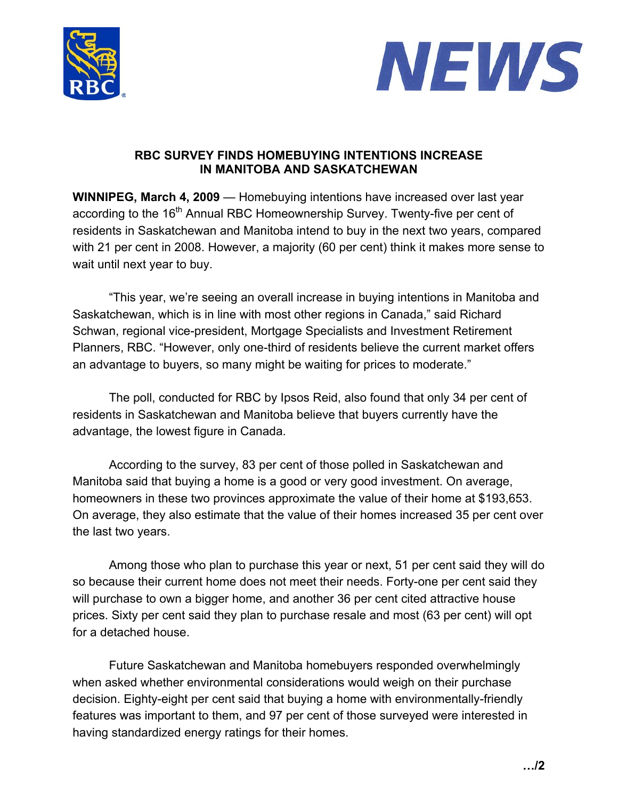



## **RBC SURVEY FINDS HOMEBUYING INTENTIONS INCREASE IN MANITOBA AND SASKATCHEWAN**

**WINNIPEG, March 4, 2009** — Homebuying intentions have increased over last year according to the 16<sup>th</sup> Annual RBC Homeownership Survey. Twenty-five per cent of residents in Saskatchewan and Manitoba intend to buy in the next two years, compared with 21 per cent in 2008. However, a majority (60 per cent) think it makes more sense to wait until next year to buy.

"This year, we're seeing an overall increase in buying intentions in Manitoba and Saskatchewan, which is in line with most other regions in Canada," said Richard Schwan, regional vice-president, Mortgage Specialists and Investment Retirement Planners, RBC. "However, only one-third of residents believe the current market offers an advantage to buyers, so many might be waiting for prices to moderate."

The poll, conducted for RBC by Ipsos Reid, also found that only 34 per cent of residents in Saskatchewan and Manitoba believe that buyers currently have the advantage, the lowest figure in Canada.

According to the survey, 83 per cent of those polled in Saskatchewan and Manitoba said that buying a home is a good or very good investment. On average, homeowners in these two provinces approximate the value of their home at \$193,653. On average, they also estimate that the value of their homes increased 35 per cent over the last two years.

 Among those who plan to purchase this year or next, 51 per cent said they will do so because their current home does not meet their needs. Forty-one per cent said they will purchase to own a bigger home, and another 36 per cent cited attractive house prices. Sixty per cent said they plan to purchase resale and most (63 per cent) will opt for a detached house.

 Future Saskatchewan and Manitoba homebuyers responded overwhelmingly when asked whether environmental considerations would weigh on their purchase decision. Eighty-eight per cent said that buying a home with environmentally-friendly features was important to them, and 97 per cent of those surveyed were interested in having standardized energy ratings for their homes.